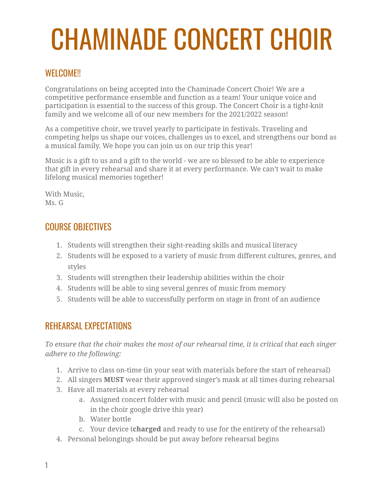# CHAMINADE CONCERT CHOIR

## WEI COME!!

Congratulations on being accepted into the Chaminade Concert Choir! We are a competitive performance ensemble and function as a team! Your unique voice and participation is essential to the success of this group. The Concert Choir is a tight-knit family and we welcome all of our new members for the 2021/2022 season!

As a competitive choir, we travel yearly to participate in festivals. Traveling and competing helps us shape our voices, challenges us to excel, and strengthens our bond as a musical family. We hope you can join us on our trip this year!

Music is a gift to us and a gift to the world - we are so blessed to be able to experience that gift in every rehearsal and share it at every performance. We can't wait to make lifelong musical memories together!

With Music, Ms. G

## COURSE OBJECTIVES

- 1. Students will strengthen their sight-reading skills and musical literacy
- 2. Students will be exposed to a variety of music from different cultures, genres, and styles
- 3. Students will strengthen their leadership abilities within the choir
- 4. Students will be able to sing several genres of music from memory
- 5. Students will be able to successfully perform on stage in front of an audience

## REHEARSAL EXPECTATIONS

*To ensure that the choir makes the most of our rehearsal time, it is critical that each singer adhere to the following:*

- 1. Arrive to class on-time (in your seat with materials before the start of rehearsal)
- 2. All singers **MUST** wear their approved singer's mask at all times during rehearsal
- 3. Have all materials at every rehearsal
	- a. Assigned concert folder with music and pencil (music will also be posted on in the choir google drive this year)
	- b. Water bottle
	- c. Your device (**charged** and ready to use for the entirety of the rehearsal)
- 4. Personal belongings should be put away before rehearsal begins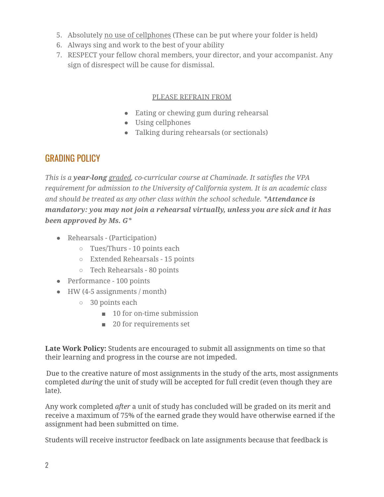- 5. Absolutely no use of cellphones (These can be put where your folder is held)
- 6. Always sing and work to the best of your ability
- 7. RESPECT your fellow choral members, your director, and your accompanist. Any sign of disrespect will be cause for dismissal.

#### PLEASE REFRAIN FROM

- Eating or chewing gum during rehearsal
- Using cellphones
- Talking during rehearsals (or sectionals)

### GRADING POLICY

*This is a year-long graded, co-curricular course at Chaminade. It satisfies the VPA requirement for admission to the University of California system. It is an academic class and should be treated as any other class within the school schedule. \*Attendance is mandatory: you may not join a rehearsal virtually, unless you are sick and it has been approved by Ms. G\**

- Rehearsals (Participation)
	- Tues/Thurs 10 points each
	- Extended Rehearsals 15 points
	- Tech Rehearsals 80 points
- Performance 100 points
- HW (4-5 assignments / month)
	- 30 points each
		- 10 for on-time submission
		- 20 for requirements set

**Late Work Policy:** Students are encouraged to submit all assignments on time so that their learning and progress in the course are not impeded.

Due to the creative nature of most assignments in the study of the arts, most assignments completed *during* the unit of study will be accepted for full credit (even though they are late).

Any work completed *after* a unit of study has concluded will be graded on its merit and receive a maximum of 75% of the earned grade they would have otherwise earned if the assignment had been submitted on time.

Students will receive instructor feedback on late assignments because that feedback is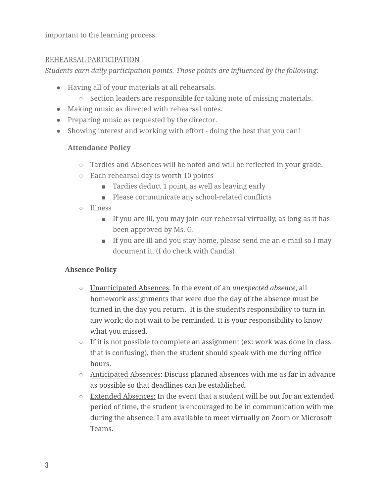important to the learning process.

#### REHEARSAL PARTICIPATION -

*Students earn daily participation points. Those points are influenced by the following:*

- Having all of your materials at all rehearsals.
	- Section leaders are responsible for taking note of missing materials.
- *●* Making music as directed with rehearsal notes.
- Preparing music as requested by the director.
- Showing interest and working with effort doing the best that you can!

#### **Attendance Policy**

- *○* Tardies and Absences will be noted and will be reflected in your grade.
- Each rehearsal day is worth 10 points
	- Tardies deduct 1 point, as well as leaving early
	- Please communicate any school-related conflicts
- Illness
	- If you are ill, you may join our rehearsal virtually, as long as it has been approved by Ms. G.
	- If you are ill and you stay home, please send me an e-mail so I may document it. (I do check with Candis)

#### **Absence Policy**

- Unanticipated Absences: In the event of an *unexpected absence*, all homework assignments that were due the day of the absence must be turned in the day you return. It is the student's responsibility to turn in any work; do not wait to be reminded. It is your responsibility to know what you missed.
- If it is not possible to complete an assignment (ex: work was done in class that is confusing), then the student should speak with me during office hours.
- Anticipated Absences: Discuss planned absences with me as far in advance as possible so that deadlines can be established.
- $\circ$  Extended Absences: In the event that a student will be out for an extended period of time, the student is encouraged to be in communication with me during the absence. I am available to meet virtually on Zoom or Microsoft Teams.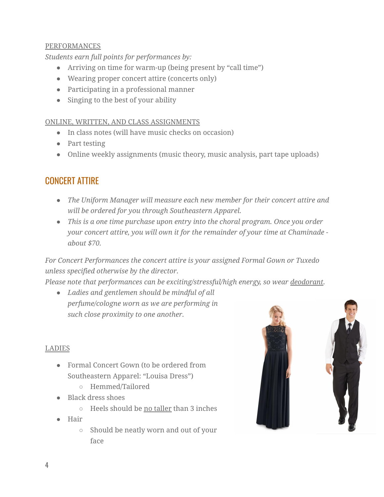#### PERFORMANCES

*Students earn full points for performances by:*

- Arriving on time for warm-up (being present by "call time")
- Wearing proper concert attire (concerts only)
- Participating in a professional manner
- Singing to the best of your ability

#### ONLINE, WRITTEN, AND CLASS ASSIGNMENTS

- In class notes (will have music checks on occasion)
- Part testing
- Online weekly assignments (music theory, music analysis, part tape uploads)

## CONCERT ATTIRE

- *● The Uniform Manager will measure each new member for their concert attire and will be ordered for you through Southeastern Apparel.*
- *● This is a one time purchase upon entry into the choral program. Once you order your concert attire, you will own it for the remainder of your time at Chaminade about \$70.*

*For Concert Performances the concert attire is your assigned Formal Gown or Tuxedo unless specified otherwise by the director.*

*Please note that performances can be exciting/stressful/high energy, so wear deodorant.*

*● Ladies and gentlemen should be mindful of all perfume/cologne worn as we are performing in such close proximity to one another.*

#### LADIES

- Formal Concert Gown (to be ordered from Southeastern Apparel: "Louisa Dress")
	- Hemmed/Tailored
- Black dress shoes
	- Heels should be no taller than 3 inches
- Hair
	- Should be neatly worn and out of your face

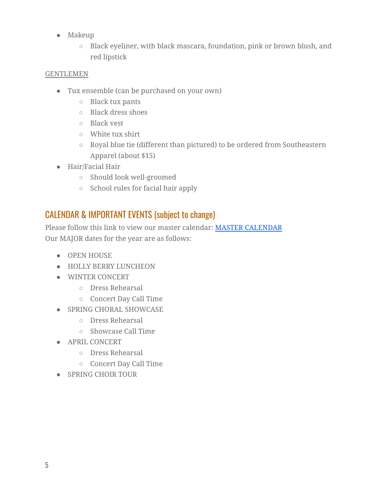- Makeup
	- Black eyeliner, with black mascara, foundation, pink or brown blush, and red lipstick

#### GENTLEMEN

- Tux ensemble (can be purchased on your own)
	- Black tux pants
	- Black dress shoes
	- Black vest
	- White tux shirt
	- Royal blue tie (different than pictured) to be ordered from Southeastern Apparel (about \$15)
- Hair/Facial Hair
	- Should look well-groomed
	- School rules for facial hair apply

## CALENDAR & IMPORTANT EVENTS (subject to change)

Please follow this link to view our master calendar: MASTER [CALENDAR](http://www.chaminadechoirs.org/master-calendar.html) Our MAJOR dates for the year are as follows:

- OPEN HOUSE
- HOLLY BERRY LUNCHEON
- WINTER CONCERT
	- Dress Rehearsal
	- Concert Day Call Time
- SPRING CHORAL SHOWCASE
	- Dress Rehearsal
	- Showcase Call Time
- APRIL CONCERT
	- Dress Rehearsal
	- Concert Day Call Time
- SPRING CHOIR TOUR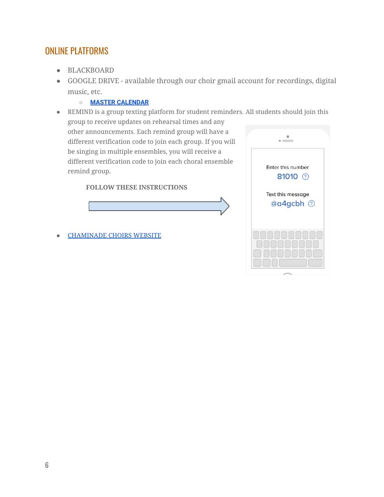## ONLINE PLATFORMS

- BLACKBOARD
- GOOGLE DRIVE available through our choir gmail account for recordings, digital music, etc.
	- **○ MASTER [CALENDAR](http://www.chaminadechoirs.org/master-calendar.html)**
- REMIND is a group texting platform for student reminders. All students should join this group to receive updates on rehearsal times and any

other announcements. Each remind group will have a different verification code to join each group. If you will be singing in multiple ensembles, you will receive a different verification code to join each choral ensemble remind group.

#### **FOLLOW THESE INSTRUCTIONS**



● [CHAMINADE](http://www.chaminadechoirs.org/) CHOIRS WEBSITE